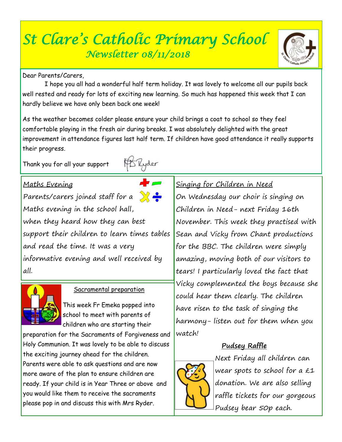# *St Clare's Catholic Primary School Newsletter 08/11/2018*

Dear Parents/Carers

 I hope you all had a wonderful half term holiday. It was lovely to welcome all our pupils back well rested and ready for lots of exciting new learning. So much has happened this week that I can hardly believe we have only been back one week!

As the weather becomes colder please ensure your child brings a coat to school so they feel comfortable playing in the fresh air during breaks. I was absolutely delighted with the great improvement in attendance figures last half term. If children have good attendance it really supports their progress.

Thank you for all your support



Parents/carers joined staff for a  $\sum$ Maths evening in the school hall, when they heard how they can best support their children to learn times tables and read the time. It was a very informative evening and well received by all.



## Sacramental preparation

This week Fr Emeka popped into school to meet with parents of children who are starting their

preparation for the Sacraments of Forgiveness and Holy Communion. It was lovely to be able to discuss the exciting journey ahead for the children. Parents were able to ask questions and are now more aware of the plan to ensure children are ready. If your child is in Year Three or above and you would like them to receive the sacraments please pop in and discuss this with Mrs Ryder.

## Singing for Children in Need

On Wednesday our choir is singing on Children in Need- next Friday 16th November. This week they practised with Sean and Vicky from Chant productions for the BBC. The children were simply amazing, moving both of our visitors to tears! I particularly loved the fact that Vicky complemented the boys because she could hear them clearly. The children have risen to the task of singing the harmony- listen out for them when you watch!

## **Pudsey Raffle**



Next Friday all children can wear spots to school for a £1 donation. We are also selling raffle tickets for our gorgeous Pudsey bear 50p each.